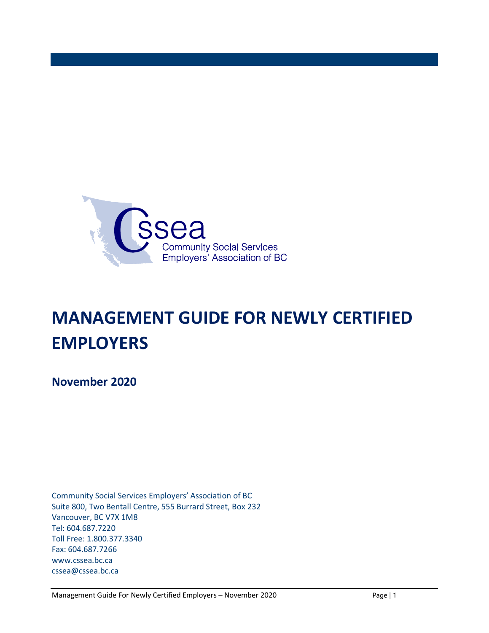

# **MANAGEMENT GUIDE FOR NEWLY CERTIFIED EMPLOYERS**

**November 2020**

Community Social Services Employers' Association of BC Suite 800, Two Bentall Centre, 555 Burrard Street, Box 232 Vancouver, BC V7X 1M8 Tel: 604.687.7220 Toll Free: 1.800.377.3340 Fax: 604.687.7266 www.cssea.bc.ca cssea@cssea.bc.ca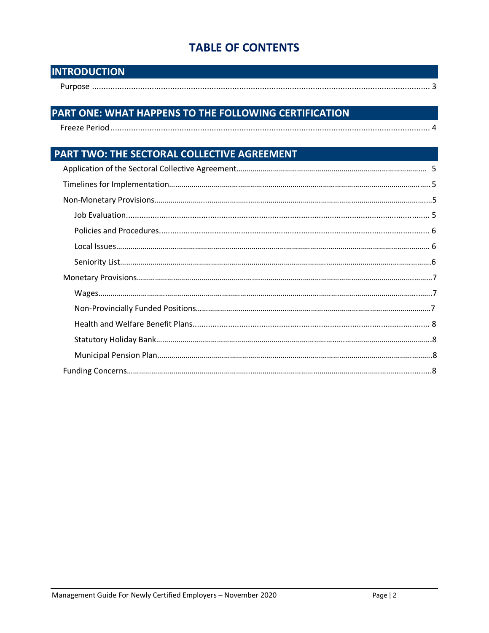# **TABLE OF CONTENTS**

| <b>INTRODUCTION</b> |  |
|---------------------|--|
|                     |  |

# PART ONE: WHAT HAPPENS TO THE FOLLOWING CERTIFICATION

# PART TWO: THE SECTORAL COLLECTIVE AGREEMENT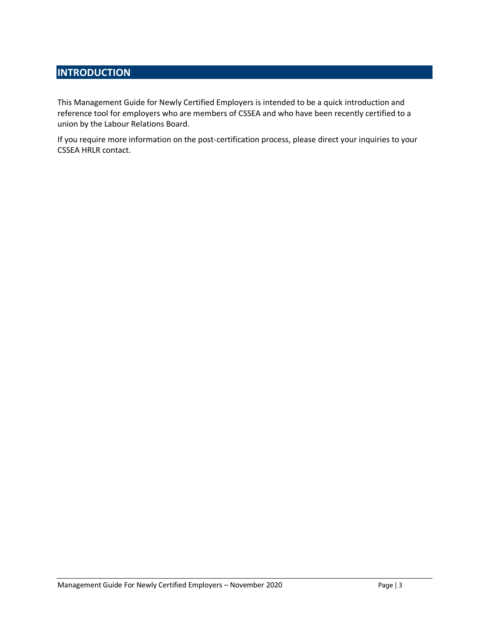# **INTRODUCTION**

This Management Guide for Newly Certified Employers is intended to be a quick introduction and reference tool for employers who are members of CSSEA and who have been recently certified to a union by the Labour Relations Board.

If you require more information on the post-certification process, please direct your inquiries to your CSSEA HRLR contact.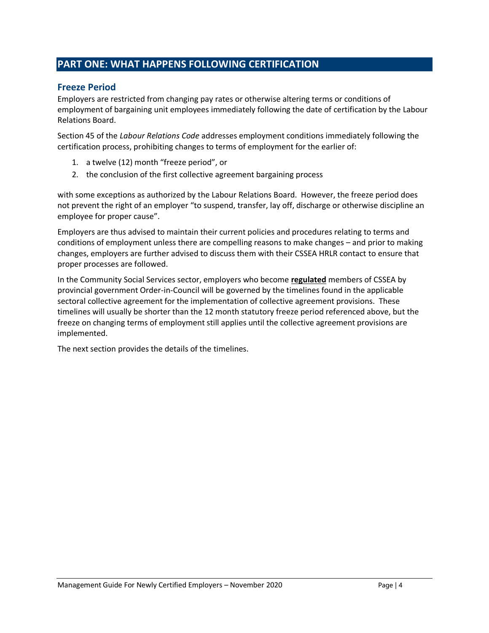### **PART ONE: WHAT HAPPENS FOLLOWING CERTIFICATION**

#### **Freeze Period**

Employers are restricted from changing pay rates or otherwise altering terms or conditions of employment of bargaining unit employees immediately following the date of certification by the Labour Relations Board.

Section 45 of the *Labour Relations Code* addresses employment conditions immediately following the certification process, prohibiting changes to terms of employment for the earlier of:

- 1. a twelve (12) month "freeze period", or
- 2. the conclusion of the first collective agreement bargaining process

with some exceptions as authorized by the Labour Relations Board. However, the freeze period does not prevent the right of an employer "to suspend, transfer, lay off, discharge or otherwise discipline an employee for proper cause".

Employers are thus advised to maintain their current policies and procedures relating to terms and conditions of employment unless there are compelling reasons to make changes – and prior to making changes, employers are further advised to discuss them with their CSSEA HRLR contact to ensure that proper processes are followed.

In the Community Social Services sector, employers who become **regulated** members of CSSEA by provincial government Order-in-Council will be governed by the timelines found in the applicable sectoral collective agreement for the implementation of collective agreement provisions. These timelines will usually be shorter than the 12 month statutory freeze period referenced above, but the freeze on changing terms of employment still applies until the collective agreement provisions are implemented.

The next section provides the details of the timelines.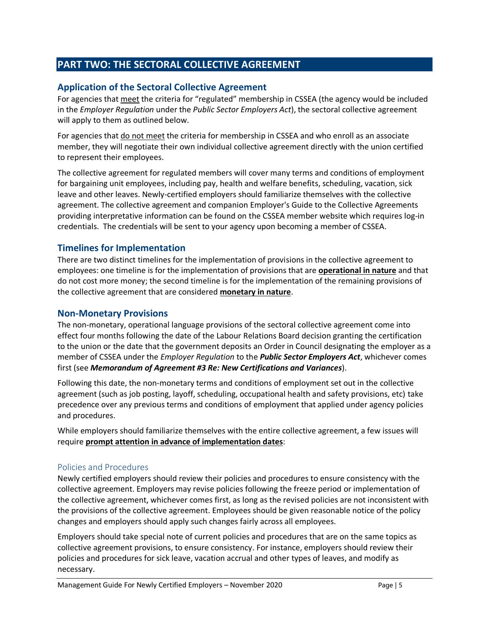## **PART TWO: THE SECTORAL COLLECTIVE AGREEMENT**

#### **Application of the Sectoral Collective Agreement**

For agencies that meet the criteria for "regulated" membership in CSSEA (the agency would be included in the *Employer Regulation* under the *Public Sector Employers Act*), the sectoral collective agreement will apply to them as outlined below.

For agencies that do not meet the criteria for membership in CSSEA and who enroll as an associate member, they will negotiate their own individual collective agreement directly with the union certified to represent their employees.

The collective agreement for regulated members will cover many terms and conditions of employment for bargaining unit employees, including pay, health and welfare benefits, scheduling, vacation, sick leave and other leaves. Newly-certified employers should familiarize themselves with the collective agreement. The collective agreement and companion Employer's Guide to the Collective Agreements providing interpretative information can be found on the CSSEA member website which requires log-in credentials. The credentials will be sent to your agency upon becoming a member of CSSEA.

#### **Timelines for Implementation**

There are two distinct timelines for the implementation of provisions in the collective agreement to employees: one timeline is for the implementation of provisions that are **operational in nature** and that do not cost more money; the second timeline is for the implementation of the remaining provisions of the collective agreement that are considered **monetary in nature**.

#### **Non-Monetary Provisions**

The non-monetary, operational language provisions of the sectoral collective agreement come into effect four months following the date of the Labour Relations Board decision granting the certification to the union or the date that the government deposits an Order in Council designating the employer as a member of CSSEA under the *Employer Regulation* to the *Public Sector Employers Act*, whichever comes first (see *Memorandum of Agreement #3 Re: New Certifications and Variances*).

Following this date, the non-monetary terms and conditions of employment set out in the collective agreement (such as job posting, layoff, scheduling, occupational health and safety provisions, etc) take precedence over any previous terms and conditions of employment that applied under agency policies and procedures.

While employers should familiarize themselves with the entire collective agreement, a few issues will require **prompt attention in advance of implementation dates**:

#### Policies and Procedures

Newly certified employers should review their policies and procedures to ensure consistency with the collective agreement. Employers may revise policies following the freeze period or implementation of the collective agreement, whichever comes first, as long as the revised policies are not inconsistent with the provisions of the collective agreement. Employees should be given reasonable notice of the policy changes and employers should apply such changes fairly across all employees.

Employers should take special note of current policies and procedures that are on the same topics as collective agreement provisions, to ensure consistency. For instance, employers should review their policies and procedures for sick leave, vacation accrual and other types of leaves, and modify as necessary.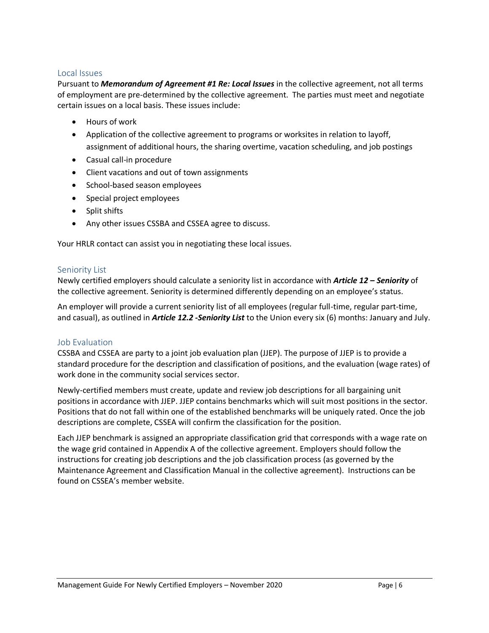#### Local Issues

Pursuant to *Memorandum of Agreement #1 Re: Local Issues* in the collective agreement, not all terms of employment are pre-determined by the collective agreement. The parties must meet and negotiate certain issues on a local basis. These issues include:

- Hours of work
- Application of the collective agreement to programs or worksites in relation to layoff, assignment of additional hours, the sharing overtime, vacation scheduling, and job postings
- Casual call-in procedure
- Client vacations and out of town assignments
- School-based season employees
- Special project employees
- Split shifts
- Any other issues CSSBA and CSSEA agree to discuss.

Your HRLR contact can assist you in negotiating these local issues.

#### Seniority List

Newly certified employers should calculate a seniority list in accordance with *Article 12 – Seniority* of the collective agreement. Seniority is determined differently depending on an employee's status.

An employer will provide a current seniority list of all employees (regular full-time, regular part-time, and casual), as outlined in *Article 12.2 -Seniority List* to the Union every six (6) months: January and July.

#### Job Evaluation

CSSBA and CSSEA are party to a joint job evaluation plan (JJEP). The purpose of JJEP is to provide a standard procedure for the description and classification of positions, and the evaluation (wage rates) of work done in the community social services sector.

Newly-certified members must create, update and review job descriptions for all bargaining unit positions in accordance with JJEP. JJEP contains benchmarks which will suit most positions in the sector. Positions that do not fall within one of the established benchmarks will be uniquely rated. Once the job descriptions are complete, CSSEA will confirm the classification for the position.

Each JJEP benchmark is assigned an appropriate classification grid that corresponds with a wage rate on the wage grid contained in Appendix A of the collective agreement. Employers should follow the instructions for creating job descriptions and the job classification process (as governed by the Maintenance Agreement and Classification Manual in the collective agreement). Instructions can be found on CSSEA's member website.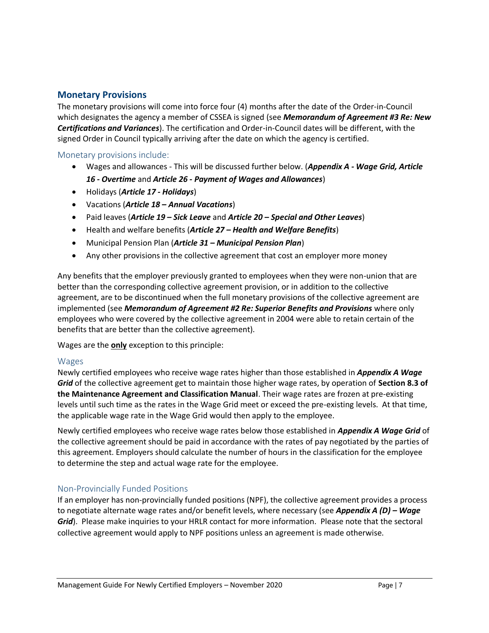#### **Monetary Provisions**

The monetary provisions will come into force four (4) months after the date of the Order-in-Council which designates the agency a member of CSSEA is signed (see *Memorandum of Agreement #3 Re: New Certifications and Variances*). The certification and Order-in-Council dates will be different, with the signed Order in Council typically arriving after the date on which the agency is certified.

#### Monetary provisions include:

- Wages and allowances This will be discussed further below. (*Appendix A - Wage Grid, Article 16 - Overtime* and *Article 26 - Payment of Wages and Allowances*)
- Holidays (*Article 17 - Holidays*)
- Vacations (*Article 18 – Annual Vacations*)
- Paid leaves (*Article 19 – Sick Leave* and *Article 20 – Special and Other Leaves*)
- Health and welfare benefits (*Article 27 – Health and Welfare Benefits*)
- Municipal Pension Plan (*Article 31 – Municipal Pension Plan*)
- Any other provisions in the collective agreement that cost an employer more money

Any benefits that the employer previously granted to employees when they were non-union that are better than the corresponding collective agreement provision, or in addition to the collective agreement, are to be discontinued when the full monetary provisions of the collective agreement are implemented (see *Memorandum of Agreement #2 Re: Superior Benefits and Provisions* where only employees who were covered by the collective agreement in 2004 were able to retain certain of the benefits that are better than the collective agreement).

Wages are the **only** exception to this principle:

#### Wages

Newly certified employees who receive wage rates higher than those established in *Appendix A Wage Grid* of the collective agreement get to maintain those higher wage rates, by operation of **Section 8.3 of the Maintenance Agreement and Classification Manual**. Their wage rates are frozen at pre-existing levels until such time as the rates in the Wage Grid meet or exceed the pre-existing levels. At that time, the applicable wage rate in the Wage Grid would then apply to the employee.

Newly certified employees who receive wage rates below those established in *Appendix A Wage Grid* of the collective agreement should be paid in accordance with the rates of pay negotiated by the parties of this agreement. Employers should calculate the number of hours in the classification for the employee to determine the step and actual wage rate for the employee.

#### Non-Provincially Funded Positions

If an employer has non-provincially funded positions (NPF), the collective agreement provides a process to negotiate alternate wage rates and/or benefit levels, where necessary (see *Appendix A (D) – Wage Grid*). Please make inquiries to your HRLR contact for more information. Please note that the sectoral collective agreement would apply to NPF positions unless an agreement is made otherwise.**7**